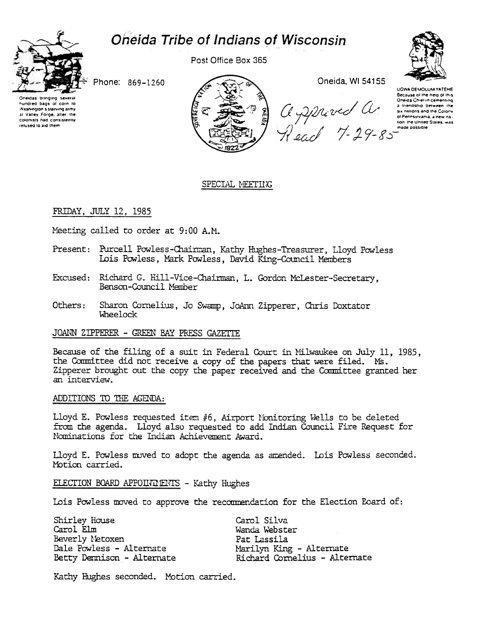# Oneida Tribe of Indians of Wisconsin



Post Office Box 365



Phone: 869-1260

Oneidas bringing severa nundred bags of corn to Washington's starving army at Valley Forge, after the colonists had consistently relused to aid them



Oneida, WI 54155

George Christmas Christmas Christmas Christmas Christmas Christmas Christmas Christmas States and the Colory<br>
SI Accord Christmas and the Colory<br>
of Pennsylvania a new nations<br>
The Cacord T-29-85

UGWA DEMOLUM YATEHE Because of the help of this<br>Oneida Chief in cementing

# SPECIAL MEETING

## FRIDAY, JULY 12, 1985

Meeting called to order at 9:00 A.M.

- Present: Purcell Powless-Chairman, Kathy Hughes-Treasurer, Lloyd Powless Lois Powless, Mark Powless, David King-Council Members
- Richard G. Hill-Vice-Chairman, L. Gordon McLester-Secretary, Excused: Benson-Council Member
- Others: Sharon Cornelius, Jo Swamp, JoAnn Zipperer, Chris Doxtator Wheelock

## JOANN ZIPPERER - GREEN BAY PRESS GAZETTE

Because of the filing of a suit in Federal Court in Milwaukee on July 11, 1985, the Committee did not receive a copy of the papers that were filed. Ms. Zipperer brought out the copy the paper received and the Committee granted her an interview.

# ADDITIONS TO THE AGENDA:

Lloyd E. Powless requested item #6, Airport Nonitoring Wells to be deleted from the agenda. Lloyd also requested to add Indian Council Fire Request for Nominations for the Indian Achievement Award.

Lloyd E. Powless moved to adopt the agenda as amended. Lois Powless seconded. Motion carried.

ELECTION BOARD APPOINTENTS - Kathy Hughes

Lois Powless moved to approve the recommendation for the Election Board of:

| Shirley House             | Carol Silva                   |
|---------------------------|-------------------------------|
| Carol Elm                 | Wanda Webster                 |
| Beverly Metoxen           | Pat Lassila                   |
| Dale Powless - Alternate  | Marilyn King - Alternate      |
| Betty Demison - Alternate | Richard Cornelius - Alternate |

Kathy Hughes seconded. Motion carried.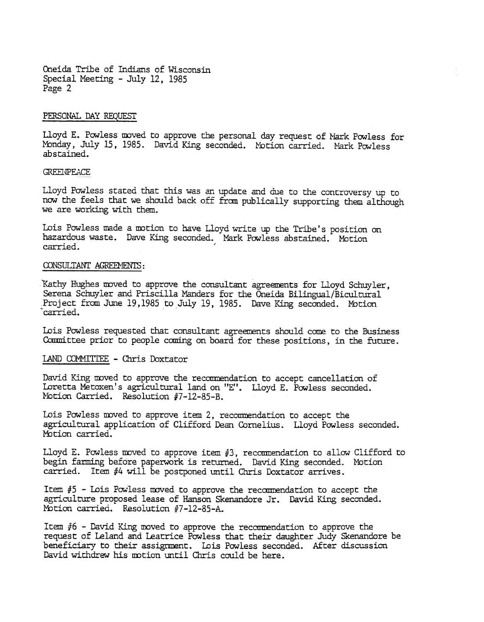Cneida Tribe of Indians of Wisconsin Special Meeting - July 12, 1985 Page 2

## PERSONAL DAY REQUEST

Lloyd E. Powless moved to approve the personal day request of Mark Powless for Monday, July 15, 1985. David King seconded. Motion carried. Mark Powless abstained.

#### **GREENPEACE**

Lloyd Powless stated that this was an update and due to the controversy up to now the feels that we should back off from publically supporting them although we are working with them.

Lois Powless made a motion to have Lloyd write up the Tribe's position on hazardous waste. Dave King seconded. Mark Powless abstained. Motion carried.

#### CONSULTANT AGREEMENTS:

Kathy Hughes moved to approve the consultant agreements for Lloyd Schuyler, Serena Schuyler and Priscilla Manders for the Oneida Bilingual/Bicultural Project from June 19,1985 to July 19, 1985. Dave King seconded. Motion carried.

Lois Powless requested that consultant agreements should come to the Business Conmittee prior to people coming on board for these positions, in the future.

## LAND COMMITTEE - Chris Doxtator

David King moved to approve the recommendation to accept cancellation of Loretta Metoxen's agricultural land on "E". Lloyd E. Powless seconded. ~btion Carried. Resolution 17-12-85-B.

Lois Powless moved to approve item 2, recommendation to accept the agricultural application of Clifford Dean Cornelius. Lloyd Powless seconded. Motion carried.

Lloyd E. Powless moved to approve item  $#3$ , recommendation to allow Clifford to begin farming before paperwork is returned. David King seconded. Motion carried. Item #4 will be postponed until Chris Doxtator arrives.

Item #5 - Lois Powless moved to approve the recommendation to accept the agriculture proposed lease of Hanson Skenandore Jr. David King seconded. Motion carried. Resolution #7-12-85-A.

Item  $#6$  - David King moved to approve the recommendation to approve the request of Leland and Leatrice Powless that their daughter Judy Skenandore be beneficiary to their assignment. Lois Powless seconded. After discussion David withdrew his motion until Chris could be here.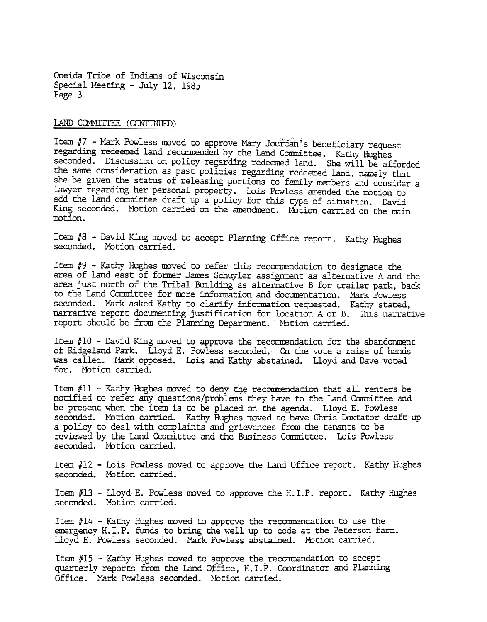Oneida Tribe of Indians of Wisconsin Special Meeting - July 12, 1985 Page 3

LAND COMMITTEE (CONTINUED)

Item #7 - Mark Powless moved to approve Mary Jourdan's beneficiary request regarding redeemed land recommended by the Land Committee. Kathy Hughes seconded. Discussion on policy regarding redeemed land. She will be afforded the same consideration as past policies regarding redeemed land, namely that she be given the status of releasing portions to family members and consider a lawyer regarding her personal property. Lois Powless amended the motion to add the land committee draft up a policy for this type of situation. David King seconded. Motion carried on the amendment. Motion carried on the main rootion.

Item #8 - David King moved to accept Planning Office report. Kathy Hughes seconded. Motion carried.

Item  $#9$  - Kathy Hughes moved to refer this recommendation to designate the area of land east of former James Sdhuyler assignment as alternative A and the area just north of the Tribal Building as alternative B for trailer park, back to the Land Committee for more information and documentation. Mark Powless seconded. Mark asked Kathy to clarify information requested. Kathy stated, narrative report documenting justification for location A or B. This narrative report should be from the Planning Department. Motion carried.

Item  $#10$  - David King moved to approve the recommendation for the abandonment of Ridgeland Park. Lloyd E. Powless seconded. On the vote a raise of hands was called. Mark opposed. Lois and Kathy abstained. Lloyd and Dave voted for. Motion carried.

Item  $#11$  - Kathy Hughes moved to deny the recommendation that all renters be notified to refer any questions/problems they have to the Land Conmittee and be present when the item is to be placed on the agenda. Lloyd E. Powless seconded. Motion carried. Kathy Hughes moved to have Chris Doxtator draft up a policy to deal with complaints and grievances from the tenants to be reviewed by the Land Committee and the Business Committee. Lois Powless seconded. Notion carried.

Item #12 - Lois Powless moved to approve the Land Office report. Kathy Hughes seconded. Motion carried.

Item  $#13$  - Lloyd E. Powless moved to approve the H.I.P. report. Kathy Hughes seconded. Motion carried.

Item  $#14$  - Kathy Hughes moved to approve the recommendation to use the emergency H.I.P. funds to bring the well up to code at the Peterson farm. Lloyd E. Powless seconded. Mark Powless abstained. Motion carried.

Item  $#15$  - Kathy Hughes moved to approve the recommendation to accept quarterly reports from the Land Office, H.I.P. Coordinator and Planning Office. Mark Powless seconded. Motion carried.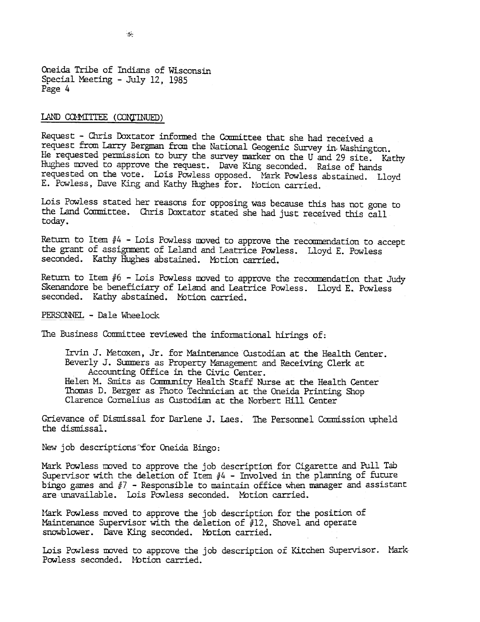Cneida Tribe of Indians of Wisconsin Special Meeting -July 12, 1985 Page 4

# LAND COMMITTEE (CONTINUED)

Request - Chris Doxtator informed the Committee that she had received a request from Larry Bergman from the National Geogenic Survey in. Washington. He requested permission to bury the survey marker on the U and 29 site. Kathy Hughes moved to approve the request. Dave King seconded. Raise of hands requested on the vote. Lois Powless opposed. Mark Powless abstained. Lloyd E. Powless, Dave King and Kathy Hughes for. Motion carried.

Lois Powless stated her reasons for opposing was because this has not gone to the Land Committee. Chris Doxtator stated she had just received this call today.

Return to Item  $#4$  - Lois Powless moved to approve the recommendation to accept the grant of assignment of Leland and Leatrice Powless. Lloyd E. Powless seconded. Kathy Hughes abstained. Motion carried.

Return to Item  $#6$  - Lois Powless moved to approve the recommendation that Judy Skenandore be beneficiary of Leland and Leatrice Powless. Lloyd E. Powless seconded. Kathy abstained. Motion carried.

PERSONNEL - Dale Wheelock

The Business Committee reviewed the informational hirings of:

Irvin J. Metoxen, Jr. for Maintenance Custodian at the Health Center. Beverly J. Summers as Property Management and Receiving Clerk at Accounting Office in the Civic Center. Helen M. Smits as Community Health Staff Nurse at the Health Center Thomas D. Berger as Photo Technician at the Oneida Printing Shop Clarence Cornelius as Custodian at the Norbert Hill Center

Grievance of Dismissal for Darlene J. Laes. The Personnel Commission upheld the dismissal.

New job descriptions for Oneida Bingo:

Mark Powless moved to approve the job description for Cigarette and Pull Tab Supervisor with the deletion of Item  $#4$  - Involved in the planning of future bingo games and  $#7$  - Responsible to maintain office when manager and assistant are unavailable. Lois Powless seconded. Motion carried.

Mark Powless moved to approve the job description for the position of Maintenance Supervisor with the deletion of  $#12$ , Shovel and operate snowblower. Dave King seconded. Motion carried.

Lois Powless moved to approve the job description of Kitchen Supervisor. Mark-Powless seconded. Motion carried.

 $\sim$